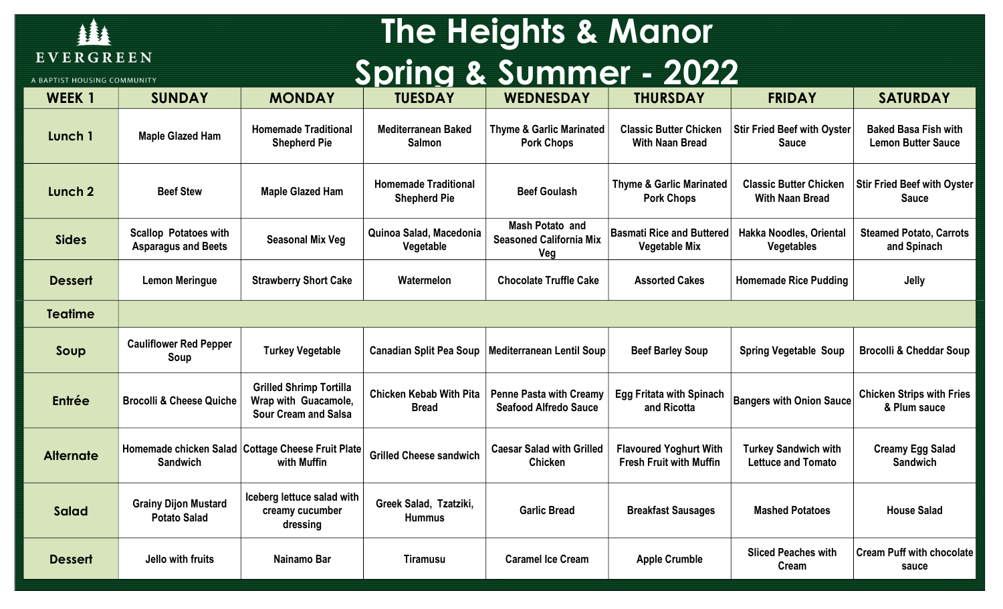

#### The Heights & Manor Spring & Summer - 2022

| A BAPTIST HOUSING COMMUNITY |                                                            |                                                                                       | <b>PERIODE SULTINGL</b>                            |                                                                 |                                                                 |                                                          |                                                          |
|-----------------------------|------------------------------------------------------------|---------------------------------------------------------------------------------------|----------------------------------------------------|-----------------------------------------------------------------|-----------------------------------------------------------------|----------------------------------------------------------|----------------------------------------------------------|
| <b>WEEK1</b>                | <b>SUNDAY</b>                                              | <b>MONDAY</b>                                                                         | <b>TUESDAY</b>                                     | <b>WEDNESDAY</b>                                                | <b>THURSDAY</b>                                                 | <b>FRIDAY</b>                                            | <b>SATURDAY</b>                                          |
| Lunch 1                     | <b>Maple Glazed Ham</b>                                    | <b>Homemade Traditional</b><br><b>Shepherd Pie</b>                                    | <b>Mediterranean Baked</b><br><b>Salmon</b>        | <b>Thyme &amp; Garlic Marinated</b><br><b>Pork Chops</b>        | <b>Classic Butter Chicken</b><br><b>With Naan Bread</b>         | <b>Stir Fried Beef with Oyster</b><br><b>Sauce</b>       | <b>Baked Basa Fish with</b><br><b>Lemon Butter Sauce</b> |
| Lunch 2                     | <b>Beef Stew</b>                                           | <b>Maple Glazed Ham</b>                                                               | <b>Homemade Traditional</b><br><b>Shepherd Pie</b> | <b>Beef Goulash</b>                                             | <b>Thyme &amp; Garlic Marinated</b><br><b>Pork Chops</b>        | <b>Classic Butter Chicken</b><br><b>With Naan Bread</b>  | <b>Stir Fried Beef with Oyster</b><br><b>Sauce</b>       |
| <b>Sides</b>                | <b>Scallop Potatoes with</b><br><b>Asparagus and Beets</b> | <b>Seasonal Mix Veg</b>                                                               | Quinoa Salad, Macedonia<br>Vegetable               | <b>Mash Potato and</b><br><b>Seasoned California Mix</b><br>Veg | <b>Basmati Rice and Buttered</b><br><b>Vegetable Mix</b>        | Hakka Noodles, Oriental<br><b>Vegetables</b>             | <b>Steamed Potato, Carrots</b><br>and Spinach            |
| <b>Dessert</b>              | <b>Lemon Meringue</b>                                      | <b>Strawberry Short Cake</b>                                                          | Watermelon                                         | <b>Chocolate Truffle Cake</b>                                   | <b>Assorted Cakes</b>                                           | <b>Homemade Rice Pudding</b>                             | Jelly                                                    |
| <b>Teatime</b>              |                                                            |                                                                                       |                                                    |                                                                 |                                                                 |                                                          |                                                          |
| Soup                        | <b>Cauliflower Red Pepper</b><br>Soup                      | <b>Turkey Vegetable</b>                                                               | <b>Canadian Split Pea Soup</b>                     | <b>Mediterranean Lentil Soup</b>                                | <b>Beef Barley Soup</b>                                         | <b>Spring Vegetable Soup</b>                             | <b>Brocolli &amp; Cheddar Soup</b>                       |
| Entrée                      | <b>Brocolli &amp; Cheese Quiche</b>                        | <b>Grilled Shrimp Tortilla</b><br>Wrap with Guacamole,<br><b>Sour Cream and Salsa</b> | <b>Chicken Kebab With Pita</b><br><b>Bread</b>     | <b>Penne Pasta with Creamy</b><br><b>Seafood Alfredo Sauce</b>  | <b>Egg Fritata with Spinach</b><br>and Ricotta                  | <b>Bangers with Onion Sauce</b>                          | <b>Chicken Strips with Fries</b><br>& Plum sauce         |
| <b>Alternate</b>            | Homemade chicken Salad<br><b>Sandwich</b>                  | <b>Cottage Cheese Fruit Plate</b><br>with Muffin                                      | <b>Grilled Cheese sandwich</b>                     | <b>Caesar Salad with Grilled</b><br><b>Chicken</b>              | <b>Flavoured Yoghurt With</b><br><b>Fresh Fruit with Muffin</b> | <b>Turkey Sandwich with</b><br><b>Lettuce and Tomato</b> | <b>Creamy Egg Salad</b><br><b>Sandwich</b>               |
| <b>Salad</b>                | <b>Grainy Dijon Mustard</b><br><b>Potato Salad</b>         | Iceberg lettuce salad with<br>creamy cucumber<br>dressing                             | Greek Salad, Tzatziki,<br><b>Hummus</b>            | <b>Garlic Bread</b>                                             | <b>Breakfast Sausages</b>                                       | <b>Mashed Potatoes</b>                                   | <b>House Salad</b>                                       |
| <b>Dessert</b>              | Jello with fruits                                          | Nainamo Bar                                                                           | <b>Tiramusu</b>                                    | <b>Caramel Ice Cream</b>                                        | <b>Apple Crumble</b>                                            | <b>Sliced Peaches with</b><br>Cream                      | <b>Cream Puff with chocolate</b><br>sauce                |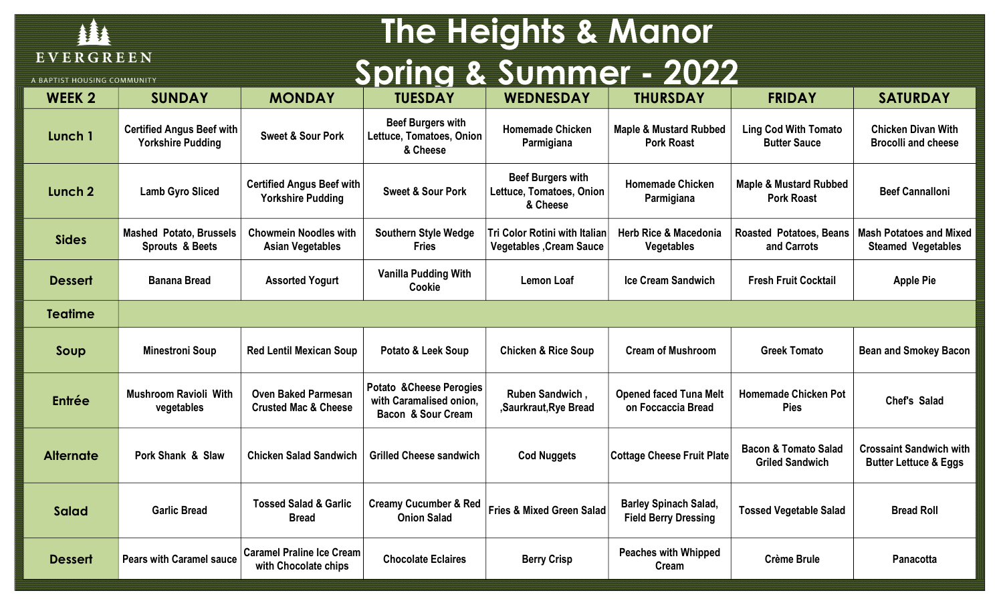

# The Heights & Manor Spring & Summer - 2022

A BAPTIST HOUSING COMMUNITY

| <b>WEEK 2</b>      | <b>SUNDAY</b>                                                | <b>MONDAY</b>                                                 | <b>TUESDAY</b>                                                            | <b>WEDNESDAY</b>                                                       | <b>THURSDAY</b>                                             | <b>FRIDAY</b>                                             | <b>SATURDAY</b>                                                    |  |  |
|--------------------|--------------------------------------------------------------|---------------------------------------------------------------|---------------------------------------------------------------------------|------------------------------------------------------------------------|-------------------------------------------------------------|-----------------------------------------------------------|--------------------------------------------------------------------|--|--|
| Lunch 1            | <b>Certified Angus Beef with</b><br><b>Yorkshire Pudding</b> | <b>Sweet &amp; Sour Pork</b>                                  | <b>Beef Burgers with</b><br>Lettuce, Tomatoes, Onion<br>& Cheese          | <b>Homemade Chicken</b><br>Parmigiana                                  | <b>Maple &amp; Mustard Rubbed</b><br><b>Pork Roast</b>      | <b>Ling Cod With Tomato</b><br><b>Butter Sauce</b>        | <b>Chicken Divan With</b><br><b>Brocolli and cheese</b>            |  |  |
| Lunch <sub>2</sub> | <b>Lamb Gyro Sliced</b>                                      | <b>Certified Angus Beef with</b><br><b>Yorkshire Pudding</b>  | <b>Sweet &amp; Sour Pork</b>                                              | <b>Beef Burgers with</b><br>Lettuce, Tomatoes, Onion<br>& Cheese       | <b>Homemade Chicken</b><br>Parmigiana                       | <b>Maple &amp; Mustard Rubbed</b><br><b>Pork Roast</b>    | <b>Beef Cannalloni</b>                                             |  |  |
| <b>Sides</b>       | <b>Mashed Potato, Brussels</b><br><b>Sprouts &amp; Beets</b> | <b>Chowmein Noodles with</b><br><b>Asian Vegetables</b>       | <b>Southern Style Wedge</b><br><b>Fries</b>                               | <b>Tri Color Rotini with Italian</b><br><b>Vegetables, Cream Sauce</b> | <b>Herb Rice &amp; Macedonia</b><br><b>Vegetables</b>       | <b>Roasted Potatoes, Beans</b><br>and Carrots             | <b>Mash Potatoes and Mixed</b><br><b>Steamed Vegetables</b>        |  |  |
| <b>Dessert</b>     | <b>Banana Bread</b>                                          | <b>Assorted Yogurt</b>                                        | <b>Vanilla Pudding With</b><br>Cookie                                     | <b>Lemon Loaf</b>                                                      | Ice Cream Sandwich                                          | <b>Fresh Fruit Cocktail</b>                               | <b>Apple Pie</b>                                                   |  |  |
| <b>Teatime</b>     |                                                              |                                                               |                                                                           |                                                                        |                                                             |                                                           |                                                                    |  |  |
| Soup               | <b>Minestroni Soup</b>                                       | <b>Red Lentil Mexican Soup</b>                                | Potato & Leek Soup                                                        | <b>Chicken &amp; Rice Soup</b>                                         | <b>Cream of Mushroom</b>                                    | <b>Greek Tomato</b>                                       | <b>Bean and Smokey Bacon</b>                                       |  |  |
| Entrée             | <b>Mushroom Ravioli With</b><br>vegetables                   | <b>Oven Baked Parmesan</b><br><b>Crusted Mac &amp; Cheese</b> | Potato & Cheese Perogies<br>with Caramalised onion,<br>Bacon & Sour Cream | Ruben Sandwich,<br>,Saurkraut, Rye Bread                               | <b>Opened faced Tuna Melt</b><br>on Foccaccia Bread         | <b>Homemade Chicken Pot</b><br><b>Pies</b>                | <b>Chef's Salad</b>                                                |  |  |
| <b>Alternate</b>   | Pork Shank & Slaw                                            | <b>Chicken Salad Sandwich</b>                                 | <b>Grilled Cheese sandwich</b>                                            | <b>Cod Nuggets</b>                                                     | <b>Cottage Cheese Fruit Plate</b>                           | <b>Bacon &amp; Tomato Salad</b><br><b>Griled Sandwich</b> | <b>Crossaint Sandwich with</b><br><b>Butter Lettuce &amp; Eggs</b> |  |  |
| <b>Salad</b>       | <b>Garlic Bread</b>                                          | <b>Tossed Salad &amp; Garlic</b><br><b>Bread</b>              | <b>Creamy Cucumber &amp; Red</b><br><b>Onion Salad</b>                    | <b>Fries &amp; Mixed Green Salad</b>                                   | <b>Barley Spinach Salad,</b><br><b>Field Berry Dressing</b> | <b>Tossed Vegetable Salad</b>                             | <b>Bread Roll</b>                                                  |  |  |
| <b>Dessert</b>     | <b>Pears with Caramel sauce</b>                              | <b>Caramel Praline Ice Cream</b><br>with Chocolate chips      | <b>Chocolate Eclaires</b>                                                 | <b>Berry Crisp</b>                                                     | <b>Peaches with Whipped</b><br>Cream                        | <b>Crème Brule</b>                                        | Panacotta                                                          |  |  |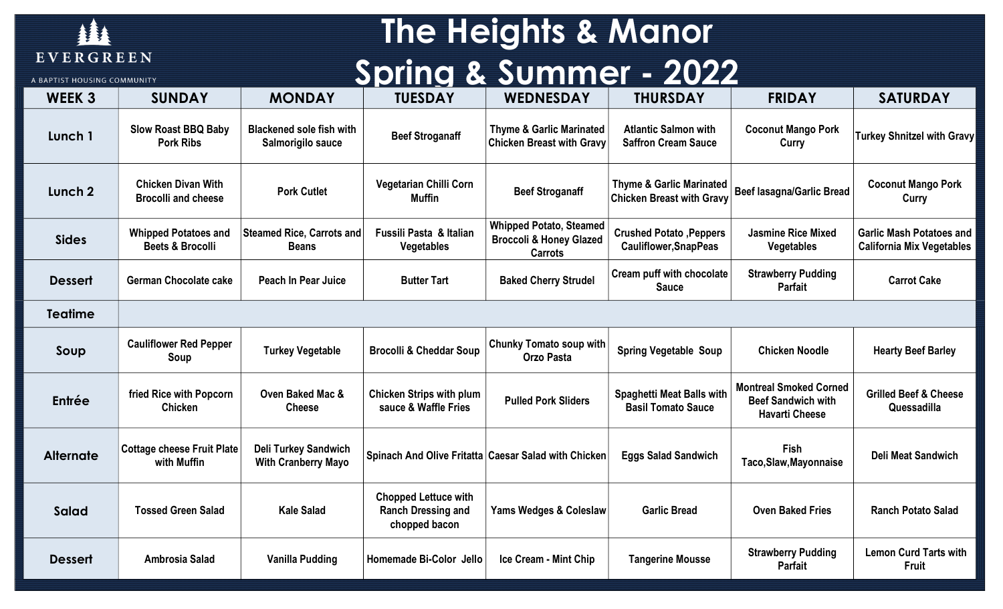

A RAPTIST HOUSING COMMUNIT

#### The Heights & Manor Spring & Summer - 2022

| <b>WEEK 3</b>      | <b>SUNDAY</b>                                              | <b>MONDAY</b>                                             | <b>TUESDAY</b>                                                            | <b>WEDNESDAY</b>                                                                       | <b>THURSDAY</b>                                                         | <b>FRIDAY</b>                                                                       | <b>SATURDAY</b>                                                     |
|--------------------|------------------------------------------------------------|-----------------------------------------------------------|---------------------------------------------------------------------------|----------------------------------------------------------------------------------------|-------------------------------------------------------------------------|-------------------------------------------------------------------------------------|---------------------------------------------------------------------|
| Lunch 1            | <b>Slow Roast BBQ Baby</b><br><b>Pork Ribs</b>             | <b>Blackened sole fish with</b><br>Salmorigilo sauce      | <b>Beef Stroganaff</b>                                                    | <b>Thyme &amp; Garlic Marinated</b><br><b>Chicken Breast with Gravy</b>                | <b>Atlantic Salmon with</b><br><b>Saffron Cream Sauce</b>               | <b>Coconut Mango Pork</b><br>Curry                                                  | <b>Turkey Shnitzel with Gravy</b>                                   |
| Lunch <sub>2</sub> | <b>Chicken Divan With</b><br><b>Brocolli and cheese</b>    | <b>Pork Cutlet</b>                                        | <b>Vegetarian Chilli Corn</b><br><b>Muffin</b>                            | <b>Beef Stroganaff</b>                                                                 | <b>Thyme &amp; Garlic Marinated</b><br><b>Chicken Breast with Gravy</b> | <b>Beef lasagna/Garlic Bread</b>                                                    | <b>Coconut Mango Pork</b><br>Curry                                  |
| <b>Sides</b>       | <b>Whipped Potatoes and</b><br><b>Beets &amp; Brocolli</b> | <b>Steamed Rice, Carrots and</b><br><b>Beans</b>          | Fussili Pasta & Italian<br>Vegetables                                     | <b>Whipped Potato, Steamed</b><br><b>Broccoli &amp; Honey Glazed</b><br><b>Carrots</b> | <b>Crushed Potato, Peppers</b><br><b>Cauliflower, SnapPeas</b>          | <b>Jasmine Rice Mixed</b><br><b>Vegetables</b>                                      | <b>Garlic Mash Potatoes and</b><br><b>California Mix Vegetables</b> |
| <b>Dessert</b>     | <b>German Chocolate cake</b>                               | Peach In Pear Juice                                       | <b>Butter Tart</b>                                                        | <b>Baked Cherry Strudel</b>                                                            | Cream puff with chocolate<br><b>Sauce</b>                               | <b>Strawberry Pudding</b><br>Parfait                                                | <b>Carrot Cake</b>                                                  |
| <b>Teatime</b>     |                                                            |                                                           |                                                                           |                                                                                        |                                                                         |                                                                                     |                                                                     |
| Soup               | <b>Cauliflower Red Pepper</b><br>Soup                      | <b>Turkey Vegetable</b>                                   | <b>Brocolli &amp; Cheddar Soup</b>                                        | <b>Chunky Tomato soup with</b><br><b>Orzo Pasta</b>                                    | <b>Spring Vegetable Soup</b>                                            | <b>Chicken Noodle</b>                                                               | <b>Hearty Beef Barley</b>                                           |
| Entrée             | fried Rice with Popcorn<br>Chicken                         | <b>Oven Baked Mac &amp;</b><br><b>Cheese</b>              | <b>Chicken Strips with plum</b><br>sauce & Waffle Fries                   | <b>Pulled Pork Sliders</b>                                                             | <b>Spaghetti Meat Balls with</b><br><b>Basil Tomato Sauce</b>           | <b>Montreal Smoked Corned</b><br><b>Beef Sandwich with</b><br><b>Havarti Cheese</b> | <b>Grilled Beef &amp; Cheese</b><br>Quessadilla                     |
| <b>Alternate</b>   | <b>Cottage cheese Fruit Plate</b><br>with Muffin           | <b>Deli Turkey Sandwich</b><br><b>With Cranberry Mayo</b> |                                                                           | Spinach And Olive Fritatta Caesar Salad with Chicken                                   | <b>Eggs Salad Sandwich</b>                                              | <b>Fish</b><br>Taco, Slaw, Mayonnaise                                               | <b>Deli Meat Sandwich</b>                                           |
| <b>Salad</b>       | <b>Tossed Green Salad</b>                                  | <b>Kale Salad</b>                                         | <b>Chopped Lettuce with</b><br><b>Ranch Dressing and</b><br>chopped bacon | Yams Wedges & Coleslaw                                                                 | <b>Garlic Bread</b>                                                     | <b>Oven Baked Fries</b>                                                             | <b>Ranch Potato Salad</b>                                           |
| <b>Dessert</b>     | <b>Ambrosia Salad</b>                                      | Vanilla Pudding                                           | Homemade Bi-Color Jello                                                   | Ice Cream - Mint Chip                                                                  | <b>Tangerine Mousse</b>                                                 | <b>Strawberry Pudding</b><br>Parfait                                                | <b>Lemon Curd Tarts with</b><br><b>Fruit</b>                        |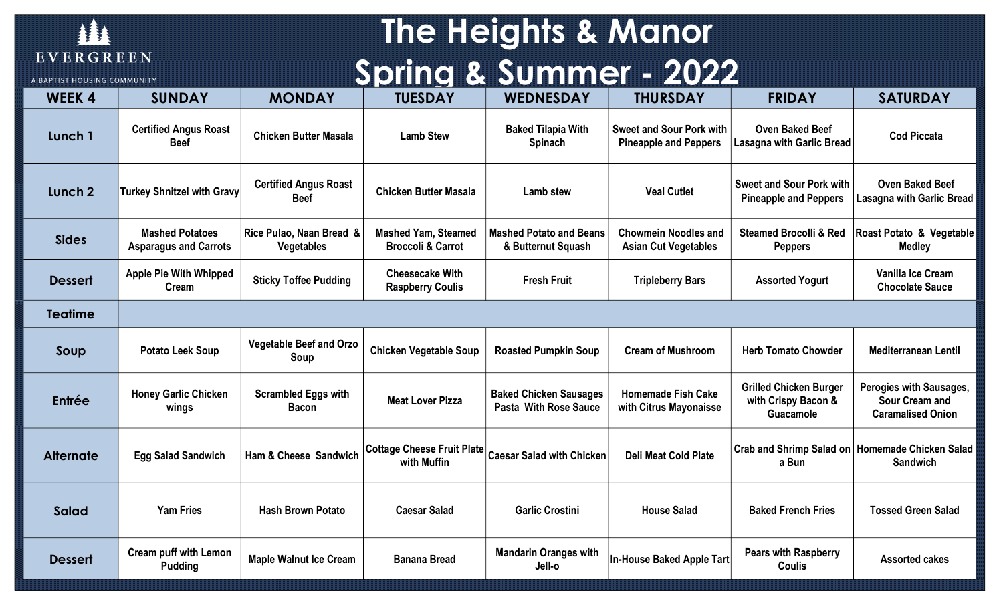

A BAPTIST HOUSING COMMUNITY

# The Heights & Manor Spring & Summer - 2022

| <b>WEEK4</b>     | <b>SUNDAY</b>                                          | <b>MONDAY</b>                                 | <b>TUESDAY</b>                                             | <b>WEDNESDAY</b>                                              | <b>THURSDAY</b>                                                 | <b>FRIDAY</b>                                                     | <b>SATURDAY</b>                                                              |
|------------------|--------------------------------------------------------|-----------------------------------------------|------------------------------------------------------------|---------------------------------------------------------------|-----------------------------------------------------------------|-------------------------------------------------------------------|------------------------------------------------------------------------------|
| Lunch 1          | <b>Certified Angus Roast</b><br><b>Beef</b>            | <b>Chicken Butter Masala</b>                  | <b>Lamb Stew</b>                                           | <b>Baked Tilapia With</b><br>Spinach                          | <b>Sweet and Sour Pork with</b><br><b>Pineapple and Peppers</b> | <b>Oven Baked Beef</b><br><b>Lasagna with Garlic Bread</b>        | <b>Cod Piccata</b>                                                           |
| Lunch 2          | <b>Turkey Shnitzel with Gravy</b>                      | <b>Certified Angus Roast</b><br><b>Beef</b>   | <b>Chicken Butter Masala</b>                               | Lamb stew                                                     | <b>Veal Cutlet</b>                                              | <b>Sweet and Sour Pork with</b><br><b>Pineapple and Peppers</b>   | <b>Oven Baked Beef</b><br>Lasagna with Garlic Bread                          |
| <b>Sides</b>     | <b>Mashed Potatoes</b><br><b>Asparagus and Carrots</b> | Rice Pulao, Naan Bread &<br><b>Vegetables</b> | <b>Mashed Yam, Steamed</b><br><b>Broccoli &amp; Carrot</b> | <b>Mashed Potato and Beans</b><br>& Butternut Squash          | <b>Chowmein Noodles and</b><br><b>Asian Cut Vegetables</b>      | <b>Steamed Brocolli &amp; Red</b><br><b>Peppers</b>               | Roast Potato & Vegetable<br><b>Medley</b>                                    |
| <b>Dessert</b>   | <b>Apple Pie With Whipped</b><br>Cream                 | <b>Sticky Toffee Pudding</b>                  | <b>Cheesecake With</b><br><b>Raspberry Coulis</b>          | <b>Fresh Fruit</b>                                            | <b>Tripleberry Bars</b>                                         | <b>Assorted Yogurt</b>                                            | Vanilla Ice Cream<br><b>Chocolate Sauce</b>                                  |
| <b>Teatime</b>   |                                                        |                                               |                                                            |                                                               |                                                                 |                                                                   |                                                                              |
| Soup             | <b>Potato Leek Soup</b>                                | <b>Vegetable Beef and Orzo</b><br>Soup        | <b>Chicken Vegetable Soup</b>                              | <b>Roasted Pumpkin Soup</b>                                   | <b>Cream of Mushroom</b>                                        | <b>Herb Tomato Chowder</b>                                        | <b>Mediterranean Lentil</b>                                                  |
| Entrée           | <b>Honey Garlic Chicken</b><br>wings                   | <b>Scrambled Eggs with</b><br><b>Bacon</b>    | <b>Meat Lover Pizza</b>                                    | <b>Baked Chicken Sausages</b><br><b>Pasta With Rose Sauce</b> | <b>Homemade Fish Cake</b><br>with Citrus Mayonaisse             | <b>Grilled Chicken Burger</b><br>with Crispy Bacon &<br>Guacamole | Perogies with Sausages,<br><b>Sour Cream and</b><br><b>Caramalised Onion</b> |
| <b>Alternate</b> | <b>Egg Salad Sandwich</b>                              | Ham & Cheese Sandwich                         | <b>Cottage Cheese Fruit Plate</b><br>with Muffin           | <b>Caesar Salad with Chicken</b>                              | <b>Deli Meat Cold Plate</b>                                     | a Bun                                                             | Crab and Shrimp Salad on   Homemade Chicken Salad  <br><b>Sandwich</b>       |
| <b>Salad</b>     | <b>Yam Fries</b>                                       | <b>Hash Brown Potato</b>                      | <b>Caesar Salad</b>                                        | <b>Garlic Crostini</b>                                        | <b>House Salad</b>                                              | <b>Baked French Fries</b>                                         | <b>Tossed Green Salad</b>                                                    |
| <b>Dessert</b>   | <b>Cream puff with Lemon</b><br><b>Pudding</b>         | <b>Maple Walnut Ice Cream</b>                 | <b>Banana Bread</b>                                        | <b>Mandarin Oranges with</b><br>Jell-o                        | <b>In-House Baked Apple Tart</b>                                | <b>Pears with Raspberry</b><br><b>Coulis</b>                      | <b>Assorted cakes</b>                                                        |